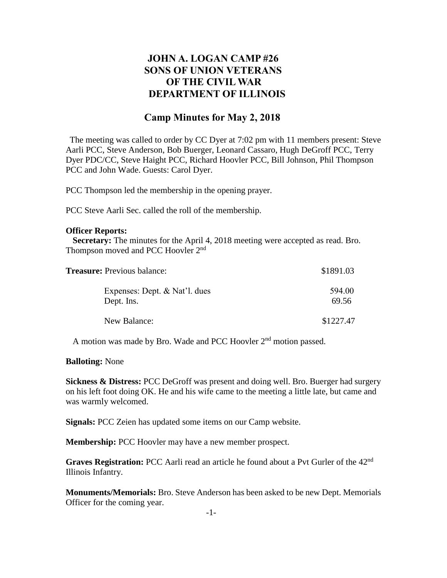# **JOHN A. LOGAN CAMP #26 SONS OF UNION VETERANS OF THE CIVIL WAR DEPARTMENT OF ILLINOIS**

## **Camp Minutes for May 2, 2018**

The meeting was called to order by CC Dyer at 7:02 pm with 11 members present: Steve Aarli PCC, Steve Anderson, Bob Buerger, Leonard Cassaro, Hugh DeGroff PCC, Terry Dyer PDC/CC, Steve Haight PCC, Richard Hoovler PCC, Bill Johnson, Phil Thompson PCC and John Wade. Guests: Carol Dyer.

PCC Thompson led the membership in the opening prayer.

PCC Steve Aarli Sec. called the roll of the membership.

### **Officer Reports:**

 **Secretary:** The minutes for the April 4, 2018 meeting were accepted as read. Bro. Thompson moved and PCC Hoovler 2<sup>nd</sup>

| <b>Treasure:</b> Previous balance:          | \$1891.03       |
|---------------------------------------------|-----------------|
| Expenses: Dept. & Nat'l. dues<br>Dept. Ins. | 594.00<br>69.56 |
| New Balance:                                | \$1227.47       |

A motion was made by Bro. Wade and PCC Hoovler 2<sup>nd</sup> motion passed.

### **Balloting:** None

**Sickness & Distress:** PCC DeGroff was present and doing well. Bro. Buerger had surgery on his left foot doing OK. He and his wife came to the meeting a little late, but came and was warmly welcomed.

**Signals:** PCC Zeien has updated some items on our Camp website.

**Membership:** PCC Hoovler may have a new member prospect.

**Graves Registration:** PCC Aarli read an article he found about a Pvt Gurler of the 42nd Illinois Infantry.

**Monuments/Memorials:** Bro. Steve Anderson has been asked to be new Dept. Memorials Officer for the coming year.